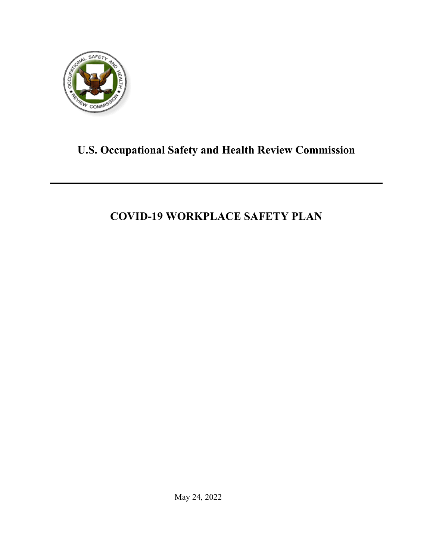<span id="page-0-0"></span>

# **U.S. Occupational Safety and Health Review Commission**

# **COVID-19 WORKPLACE SAFETY PLAN**

May 24, 2022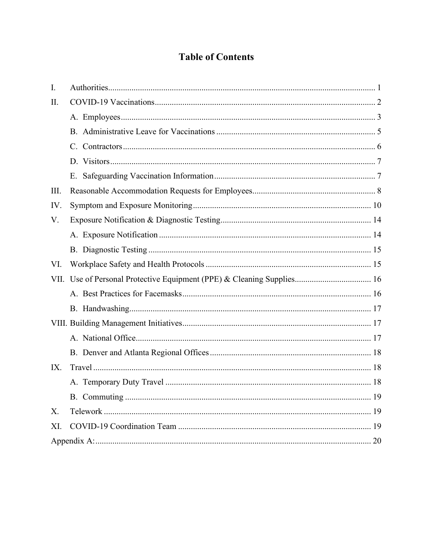# **Table of Contents**

| I.  |  |  |  |  |
|-----|--|--|--|--|
| II. |  |  |  |  |
|     |  |  |  |  |
|     |  |  |  |  |
|     |  |  |  |  |
|     |  |  |  |  |
|     |  |  |  |  |
| Ш.  |  |  |  |  |
| IV. |  |  |  |  |
| V.  |  |  |  |  |
|     |  |  |  |  |
|     |  |  |  |  |
| VI. |  |  |  |  |
|     |  |  |  |  |
|     |  |  |  |  |
|     |  |  |  |  |
|     |  |  |  |  |
|     |  |  |  |  |
|     |  |  |  |  |
| IX. |  |  |  |  |
|     |  |  |  |  |
|     |  |  |  |  |
| X.  |  |  |  |  |
| XI. |  |  |  |  |
|     |  |  |  |  |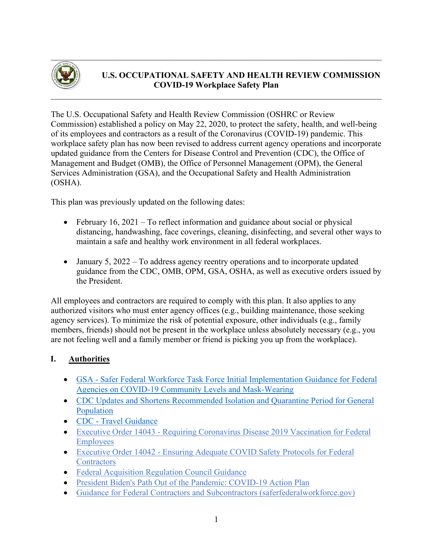

# **U.S. OCCUPATIONAL SAFETY AND HEALTH REVIEW COMMISSION COVID-19 Workplace Safety Plan**

The U.S. Occupational Safety and Health Review Commission (OSHRC or Review Commission) established a policy on May 22, 2020, to protect the safety, health, and well-being of its employees and contractors as a result of the Coronavirus (COVID-19) pandemic. This workplace safety plan has now been revised to address current agency operations and incorporate updated guidance from the Centers for Disease Control and Prevention (CDC), the Office of Management and Budget (OMB), the Office of Personnel Management (OPM), the General Services Administration (GSA), and the Occupational Safety and Health Administration (OSHA).

This plan was previously updated on the following dates:

- February 16, 2021 To reflect information and guidance about social or physical distancing, handwashing, face coverings, cleaning, disinfecting, and several other ways to maintain a safe and healthy work environment in all federal workplaces.
- January 5, 2022 To address agency reentry operations and to incorporate updated guidance from the CDC, OMB, OPM, GSA, OSHA, as well as executive orders issued by the President.

All employees and contractors are required to comply with this plan. It also applies to any authorized visitors who must enter agency offices (e.g., building maintenance, those seeking agency services). To minimize the risk of potential exposure, other individuals (e.g., family members, friends) should not be present in the workplace unless absolutely necessary (e.g., you are not feeling well and a family member or friend is picking you up from the workplace).

# <span id="page-2-0"></span>**I. Authorities**

- GSA Safer Federal Workforce Task Force Initial Implementation Guidance for Federal [Agencies on COVID-19 Community Levels and Mask-Wearing](https://www.saferfederalworkforce.gov/downloads/COVID-19%20Community%20Levels_Initial%20Guidance%20for%20Federal%20Agencies_20220228.pdf)
- [CDC Updates and Shortens Recommended Isolation and Quarantine Period for General](https://www.cdc.gov/media/releases/2021/s1227-isolation-quarantine-guidance.html)  [Population](https://www.cdc.gov/media/releases/2021/s1227-isolation-quarantine-guidance.html)
- CDC [Travel Guidance](https://www.cdc.gov/coronavirus/2019-ncov/travelers/index.html)
- Executive Order 14043 [Requiring Coronavirus Disease 2019 Vaccination for Federal](https://www.whitehouse.gov/briefing-room/presidential-actions/2021/09/09/executive-order-on-requiring-coronavirus-disease-2019-vaccination-for-federal-employees/)  [Employees](https://www.whitehouse.gov/briefing-room/presidential-actions/2021/09/09/executive-order-on-requiring-coronavirus-disease-2019-vaccination-for-federal-employees/)
- Executive Order 14042 [Ensuring Adequate COVID Safety Protocols for Federal](https://www.whitehouse.gov/briefing-room/presidential-actions/2021/09/09/executive-order-on-ensuring-adequate-covid-safety-protocols-for-federal-contractors/)  **[Contractors](https://www.whitehouse.gov/briefing-room/presidential-actions/2021/09/09/executive-order-on-ensuring-adequate-covid-safety-protocols-for-federal-contractors/)**
- [Federal Acquisition Regulation Council Guidance](https://www.whitehouse.gov/wp-content/uploads/2021/09/FAR-Council-Guidance-on-Agency-Issuance-of-Deviations-to-Implement-EO-14042.pdf)
- [President Biden's Path Out of the Pandemic: COVID-19 Action Plan](https://www.whitehouse.gov/covidplan/)
- [Guidance for Federal Contractors and Subcontractors \(saferfederalworkforce.gov\)](https://www.saferfederalworkforce.gov/downloads/Draft%20contractor%20guidance%20doc_20210922.pdf)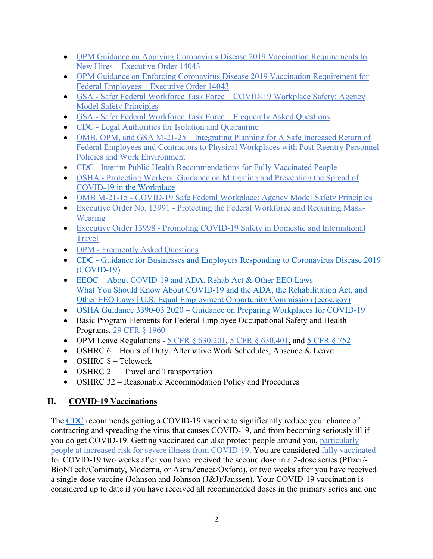- OPM Guidance on Applying Coronavirus Disease 2019 Vaccination Requirements to New Hires – [Executive Order 14043](https://chcoc.gov/content/guidance-applying-coronavirus-disease-2019-vaccination-requirements-new-hires-%E2%80%93-executive)
- [OPM Guidance on Enforcing Coronavirus Disease 2019 Vaccination Requirement for](https://chcoc.gov/content/guidance-enforcing-coronavirus-disease-2019-vaccination-requirement-federal-employees-%E2%80%93)  Federal Employees – [Executive Order 14043](https://chcoc.gov/content/guidance-enforcing-coronavirus-disease-2019-vaccination-requirement-federal-employees-%E2%80%93)
- GSA Safer Federal Workforce Task Force [COVID-19 Workplace Safety: Agency](https://www.saferfederalworkforce.gov/downloads/updates%20to%20model%20safety%20principles%209.13.21.pdf)  [Model Safety Principles](https://www.saferfederalworkforce.gov/downloads/updates%20to%20model%20safety%20principles%209.13.21.pdf)
- GSA [Safer Federal Workforce Task Force –](https://www.saferfederalworkforce.gov/faq/) Frequently Asked Questions
- CDC [Legal Authorities for Isolation and Quarantine](https://www.cdc.gov/quarantine/AboutLawsRegulationsQuarantineIsolation.html)
- OMB, OPM, and GSA M-21-25 Integrating Planning for A Safe Increased Return of [Federal Employees and Contractors to Physical Workplaces with Post-Reentry Personnel](https://www.whitehouse.gov/wp-content/uploads/2021/06/M-21-25.pdf)  [Policies and Work Environment](https://www.whitehouse.gov/wp-content/uploads/2021/06/M-21-25.pdf)
- CDC [Interim Public Health Recommendations for Fully Vaccinated People](https://www.cdc.gov/coronavirus/2019-ncov/vaccines/fully-vaccinated-guidance.html)
- OSHA Protecting Workers: Guidance on Mitigating and Preventing the Spread of [COVID-19 in the Workplace](https://www.osha.gov/coronavirus/safework)
- OMB M-21-15 [COVID-19 Safe Federal Workplace:](https://www.whitehouse.gov/wp-content/uploads/2021/01/M-21-15.pdf) Agency Model Safety Principles
- Executive Order No. 13991 [Protecting the Federal Workforce and Requiring Mask-](https://www.whitehouse.gov/briefing-room/presidential-actions/2021/01/20/executive-order-protecting-the-federal-workforce-and-requiring-mask-wearing/)[Wearing](https://www.whitehouse.gov/briefing-room/presidential-actions/2021/01/20/executive-order-protecting-the-federal-workforce-and-requiring-mask-wearing/)
- Executive Order 13998 [Promoting COVID-19 Safety in Domestic and International](https://www.whitehouse.gov/briefing-room/presidential-actions/2021/01/21/executive-order-promoting-covid-19-safety-in-domestic-and-international-travel/)  [Travel](https://www.whitehouse.gov/briefing-room/presidential-actions/2021/01/21/executive-order-promoting-covid-19-safety-in-domestic-and-international-travel/)
- OPM [Frequently Asked Questions](https://www.opm.gov/faqs/topic/pandemic/index.aspx?fid=10260ea7-b31e-4227-b0e4-94d4804b2c8a)
- CDC [Guidance for Businesses and Employers Responding to Coronavirus Disease 2019](https://www.cdc.gov/coronavirus/2019-ncov/community/guidance-business-response.html)  [\(COVID-19\)](https://www.cdc.gov/coronavirus/2019-ncov/community/guidance-business-response.html)
- EEOC [About COVID-19 and ADA, Rehab Act & Other EEO Laws](https://www.eeoc.gov/wysk/what-you-should-know-about-covid-19-and-ada-rehabilitation-act-and-other-eeo-laws)  [What You Should Know About COVID-19 and the ADA, the Rehabilitation Act, and](https://www.eeoc.gov/wysk/what-you-should-know-about-covid-19-and-ada-rehabilitation-act-and-other-eeo-laws)  [Other EEO Laws | U.S. Equal Employment Opportunity Commission \(eeoc.gov\)](https://www.eeoc.gov/wysk/what-you-should-know-about-covid-19-and-ada-rehabilitation-act-and-other-eeo-laws)
- OSHA Guidance 3390-03 2020 [Guidance on Preparing Workplaces for COVID-19](https://www.osha.gov/Publications/OSHA3990.pdf)
- Basic Program Elements for Federal Employee Occupational Safety and Health Programs, [29 CFR § 1960](https://www.osha.gov/laws-regs/regulations/standardnumber/1960/1960TableofContents)
- OPM Leave Regulations 5 CFR  $\S$  630.201, 5 CFR  $\S$  630.401, and 5 CFR  $\S$  752
- OSHRC 6 Hours of Duty, Alternative Work Schedules, Absence & Leave
- OSHRC 8 Telework
- OSHRC 21 Travel and Transportation
- OSHRC 32 Reasonable Accommodation Policy and Procedures

# <span id="page-3-0"></span>**II. COVID-19 Vaccinations**

The [CDC](https://www.cdc.gov/coronavirus/2019-ncov/vaccines/vaccine-benefits.html) recommends getting a COVID-19 vaccine to significantly reduce your chance of contracting and spreading the virus that causes COVID-19, and from becoming seriously ill if you do get COVID-19. Getting vaccinated can also protect people around you, [particularly](https://www.cdc.gov/coronavirus/2019-ncov/need-extra-precautions/index.html)  [people at increased risk for severe illness from COVID-19.](https://www.cdc.gov/coronavirus/2019-ncov/need-extra-precautions/index.html) You are considered [fully vaccinated](https://www.cdc.gov/coronavirus/2019-ncov/vaccines/fully-vaccinated.html) for COVID-19 two weeks after you have received the second dose in a 2-dose series (Pfizer/- BioNTech/Comirnaty, Moderna, or AstraZeneca/Oxford), or two weeks after you have received a single-dose vaccine (Johnson and Johnson (J&J)/Janssen). Your COVID-19 vaccination is considered up to date if you have received all recommended doses in the primary series and one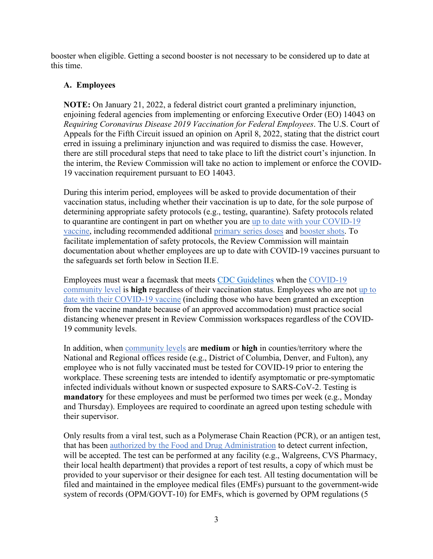booster when eligible. Getting a second booster is not necessary to be considered up to date at this time.

#### <span id="page-4-0"></span>**A. Employees**

**NOTE:** On January 21, 2022, a federal district court granted a preliminary injunction, enjoining federal agencies from implementing or enforcing Executive Order (EO) 14043 on *Requiring Coronavirus Disease 2019 Vaccination for Federal Employees*. The U.S. Court of Appeals for the Fifth Circuit issued an opinion on April 8, 2022, stating that the district court erred in issuing a preliminary injunction and was required to dismiss the case. However, there are still procedural steps that need to take place to lift the district court's injunction. In the interim, the Review Commission will take no action to implement or enforce the COVID-19 vaccination requirement pursuant to EO 14043.

During this interim period, employees will be asked to provide documentation of their vaccination status, including whether their vaccination is up to date, for the sole purpose of determining appropriate safety protocols (e.g., testing, quarantine). Safety protocols related to quarantine are contingent in part on whether you are [up to date with your COVID-19](https://www.cdc.gov/coronavirus/2019-ncov/vaccines/stay-up-to-date.html) [vaccine,](https://www.cdc.gov/coronavirus/2019-ncov/vaccines/stay-up-to-date.html) including recommended additional [primary series doses](https://www.cdc.gov/coronavirus/2019-ncov/vaccines/recommendations/immuno.html) and [booster shots.](https://www.cdc.gov/coronavirus/2019-ncov/vaccines/booster-shot.html) To facilitate implementation of safety protocols, the Review Commission will maintain documentation about whether employees are up to date with COVID-19 vaccines pursuant to the safeguards set forth below in Section II.E.

Employees must wear a facemask that meets [CDC Guidelines](https://www.cdc.gov/coronavirus/2019-ncov/prevent-getting-sick/about-face-coverings.html) when the [COVID-19](https://www.cdc.gov/coronavirus/2019-ncov/science/community-levels.html)  [community level](https://www.cdc.gov/coronavirus/2019-ncov/science/community-levels.html) is **high** regardless of their vaccination status. Employees who are not [up to](https://www.cdc.gov/coronavirus/2019-ncov/vaccines/stay-up-to-date.html)  [date with their COVID-19 vaccine](https://www.cdc.gov/coronavirus/2019-ncov/vaccines/stay-up-to-date.html) (including those who have been granted an exception from the vaccine mandate because of an approved accommodation) must practice social distancing whenever present in Review Commission workspaces regardless of the COVID-19 community levels.

In addition, when [community levels](https://www.cdc.gov/coronavirus/2019-ncov/science/community-levels.html) are **medium** or **high** in counties/territory where the National and Regional offices reside (e.g., District of Columbia, Denver, and Fulton), any employee who is not fully vaccinated must be tested for COVID-19 prior to entering the workplace. These screening tests are intended to identify asymptomatic or pre-symptomatic infected individuals without known or suspected exposure to SARS-CoV-2. Testing is **mandatory** for these employees and must be performed two times per week (e.g., Monday and Thursday). Employees are required to coordinate an agreed upon testing schedule with their supervisor.

Only results from a viral test, such as a Polymerase Chain Reaction (PCR), or an antigen test, that has been [authorized by the Food and Drug Administration](https://www.fda.gov/medical-devices/coronavirus-disease-2019-covid-19-emergency-use-authorizations-medical-devices/in-vitro-diagnostics-euas-antigen-diagnostic-tests-sars-cov-2) to detect current infection, will be accepted. The test can be performed at any facility (e.g., Walgreens, CVS Pharmacy, their local health department) that provides a report of test results, a copy of which must be provided to your supervisor or their designee for each test. All testing documentation will be filed and maintained in the employee medical files (EMFs) pursuant to the government-wide system of records (OPM/GOVT-10) for EMFs, which is governed by OPM regulations (5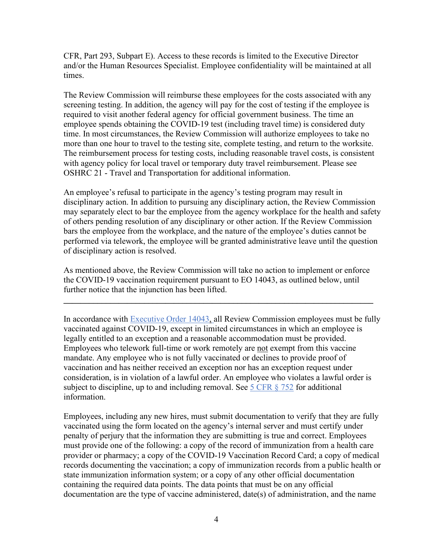CFR, Part 293, Subpart E). Access to these records is limited to the Executive Director and/or the Human Resources Specialist. Employee confidentiality will be maintained at all times.

The Review Commission will reimburse these employees for the costs associated with any screening testing. In addition, the agency will pay for the cost of testing if the employee is required to visit another federal agency for official government business. The time an employee spends obtaining the COVID-19 test (including travel time) is considered duty time. In most circumstances, the Review Commission will authorize employees to take no more than one hour to travel to the testing site, complete testing, and return to the worksite. The reimbursement process for testing costs, including reasonable travel costs, is consistent with agency policy for local travel or temporary duty travel reimbursement. Please see OSHRC 21 - Travel and Transportation for additional information.

An employee's refusal to participate in the agency's testing program may result in disciplinary action. In addition to pursuing any disciplinary action, the Review Commission may separately elect to bar the employee from the agency workplace for the health and safety of others pending resolution of any disciplinary or other action. If the Review Commission bars the employee from the workplace, and the nature of the employee's duties cannot be performed via telework, the employee will be granted administrative leave until the question of disciplinary action is resolved.

As mentioned above, the Review Commission will take no action to implement or enforce the COVID-19 vaccination requirement pursuant to EO 14043, as outlined below, until further notice that the injunction has been lifted.

**\_\_\_\_\_\_\_\_\_\_\_\_\_\_\_\_\_\_\_\_\_\_\_\_\_\_\_\_\_\_\_\_\_\_\_\_\_\_\_\_\_\_\_\_\_\_\_\_\_\_\_\_\_\_\_\_\_\_\_\_\_\_\_\_\_\_\_\_\_\_\_\_\_**

In accordance with [Executive Order 14043,](https://www.whitehouse.gov/briefing-room/presidential-actions/2021/09/09/executive-order-on-requiring-coronavirus-disease-2019-vaccination-for-federal-employees/) all Review Commission employees must be fully vaccinated against COVID-19, except in limited circumstances in which an employee is legally entitled to an exception and a reasonable accommodation must be provided. Employees who telework full-time or work remotely are not exempt from this vaccine mandate. Any employee who is not fully vaccinated or declines to provide proof of vaccination and has neither received an exception nor has an exception request under consideration, is in violation of a lawful order. An employee who violates a lawful order is subject to discipline, up to and including removal. See  $5 \text{ CFR } \S$  752 for additional information.

Employees, including any new hires, must submit documentation to verify that they are fully vaccinated using the form located on the agency's internal server and must certify under penalty of perjury that the information they are submitting is true and correct. Employees must provide one of the following: a copy of the record of immunization from a health care provider or pharmacy; a copy of the COVID-19 Vaccination Record Card; a copy of medical records documenting the vaccination; a copy of immunization records from a public health or state immunization information system; or a copy of any other official documentation containing the required data points. The data points that must be on any official documentation are the type of vaccine administered, date(s) of administration, and the name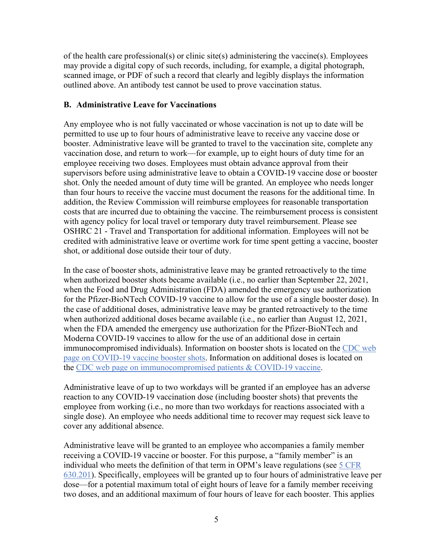of the health care professional(s) or clinic site(s) administering the vaccine(s). Employees may provide a digital copy of such records, including, for example, a digital photograph, scanned image, or PDF of such a record that clearly and legibly displays the information outlined above. An antibody test cannot be used to prove vaccination status.

#### <span id="page-6-0"></span>**B. Administrative Leave for Vaccinations**

Any employee who is not fully vaccinated or whose vaccination is not up to date will be permitted to use up to four hours of administrative leave to receive any vaccine dose or booster. Administrative leave will be granted to travel to the vaccination site, complete any vaccination dose, and return to work—for example, up to eight hours of duty time for an employee receiving two doses. Employees must obtain advance approval from their supervisors before using administrative leave to obtain a COVID-19 vaccine dose or booster shot. Only the needed amount of duty time will be granted. An employee who needs longer than four hours to receive the vaccine must document the reasons for the additional time. In addition, the Review Commission will reimburse employees for reasonable transportation costs that are incurred due to obtaining the vaccine. The reimbursement process is consistent with agency policy for local travel or temporary duty travel reimbursement. Please see OSHRC 21 - Travel and Transportation for additional information. Employees will not be credited with administrative leave or overtime work for time spent getting a vaccine, booster shot, or additional dose outside their tour of duty.

In the case of booster shots, administrative leave may be granted retroactively to the time when authorized booster shots became available (i.e., no earlier than September 22, 2021, when the Food and Drug Administration (FDA) amended the emergency use authorization for the Pfizer-BioNTech COVID-19 vaccine to allow for the use of a single booster dose). In the case of additional doses, administrative leave may be granted retroactively to the time when authorized additional doses became available (i.e., no earlier than August 12, 2021, when the FDA amended the emergency use authorization for the Pfizer-BioNTech and Moderna COVID-19 vaccines to allow for the use of an additional dose in certain immunocompromised individuals). Information on booster shots is located on the [CDC web](https://www.cdc.gov/coronavirus/2019-ncov/vaccines/booster-shot.html)  [page on COVID-19 vaccine booster shots.](https://www.cdc.gov/coronavirus/2019-ncov/vaccines/booster-shot.html) Information on additional doses is located on the [CDC web page on immunocompromised patients & COVID-19 vaccine.](https://www.cdc.gov/vaccines/covid-19/clinical-considerations/immunocompromised.html)

Administrative leave of up to two workdays will be granted if an employee has an adverse reaction to any COVID-19 vaccination dose (including booster shots) that prevents the employee from working (i.e., no more than two workdays for reactions associated with a single dose). An employee who needs additional time to recover may request sick leave to cover any additional absence.

Administrative leave will be granted to an employee who accompanies a family member receiving a COVID-19 vaccine or booster. For this purpose, a "family member" is an individual who meets the definition of that term in OPM's leave regulations (see 5 [CFR](https://www.law.cornell.edu/cfr/text/5/630.201)  [630.201\)](https://www.law.cornell.edu/cfr/text/5/630.201). Specifically, employees will be granted up to four hours of administrative leave per dose—for a potential maximum total of eight hours of leave for a family member receiving two doses, and an additional maximum of four hours of leave for each booster. This applies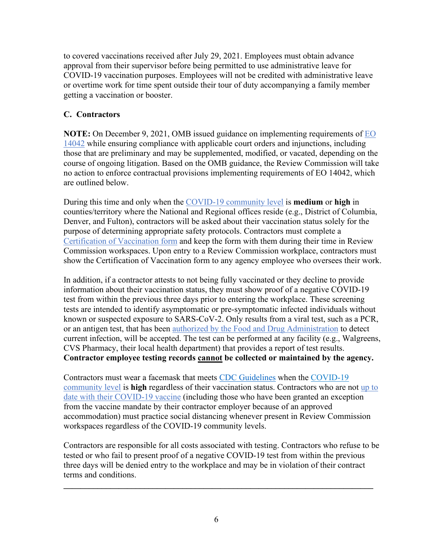to covered vaccinations received after July 29, 2021. Employees must obtain advance approval from their supervisor before being permitted to use administrative leave for COVID-19 vaccination purposes. Employees will not be credited with administrative leave or overtime work for time spent outside their tour of duty accompanying a family member getting a vaccination or booster.

# <span id="page-7-0"></span>**C. Contractors**

**NOTE:** On December 9, 2021, OMB issued guidance on implementing requirements of [EO](https://www.whitehouse.gov/briefing-room/presidential-actions/2021/09/09/executive-order-on-ensuring-adequate-covid-safety-protocols-for-federal-contractors/)  [14042](https://www.whitehouse.gov/briefing-room/presidential-actions/2021/09/09/executive-order-on-ensuring-adequate-covid-safety-protocols-for-federal-contractors/) while ensuring compliance with applicable court orders and injunctions, including those that are preliminary and may be supplemented, modified, or vacated, depending on the course of ongoing litigation. Based on the OMB guidance, the Review Commission will take no action to enforce contractual provisions implementing requirements of EO 14042, which are outlined below.

During this time and only when the [COVID-19 community level](https://www.cdc.gov/coronavirus/2019-ncov/science/community-levels.html) is **medium** or **high** in counties/territory where the National and Regional offices reside (e.g., District of Columbia, Denver, and Fulton), contractors will be asked about their vaccination status solely for the purpose of determining appropriate safety protocols. Contractors must complete a [Certification of Vaccination form](https://www.saferfederalworkforce.gov/downloads/CertificationVaccinationPRAv7.pdf) and keep the form with them during their time in Review Commission workspaces. Upon entry to a Review Commission workplace, contractors must show the Certification of Vaccination form to any agency employee who oversees their work.

In addition, if a contractor attests to not being fully vaccinated or they decline to provide information about their vaccination status, they must show proof of a negative COVID-19 test from within the previous three days prior to entering the workplace. These screening tests are intended to identify asymptomatic or pre-symptomatic infected individuals without known or suspected exposure to SARS-CoV-2. Only results from a viral test, such as a PCR, or an antigen test, that has been [authorized by the Food and Drug Administration](https://www.fda.gov/medical-devices/coronavirus-disease-2019-covid-19-emergency-use-authorizations-medical-devices/in-vitro-diagnostics-euas-antigen-diagnostic-tests-sars-cov-2) to detect current infection, will be accepted. The test can be performed at any facility (e.g., Walgreens, CVS Pharmacy, their local health department) that provides a report of test results. **Contractor employee testing records cannot be collected or maintained by the agency.**

Contractors must wear a facemask that meets [CDC Guidelines](https://www.cdc.gov/coronavirus/2019-ncov/prevent-getting-sick/about-face-coverings.html) when the [COVID-19](https://www.cdc.gov/coronavirus/2019-ncov/science/community-levels.html)  [community level](https://www.cdc.gov/coronavirus/2019-ncov/science/community-levels.html) is **high** regardless of their vaccination status. Contractors who are not [up to](https://www.cdc.gov/coronavirus/2019-ncov/vaccines/stay-up-to-date.html)  [date with their COVID-19 vaccine](https://www.cdc.gov/coronavirus/2019-ncov/vaccines/stay-up-to-date.html) (including those who have been granted an exception from the vaccine mandate by their contractor employer because of an approved accommodation) must practice social distancing whenever present in Review Commission workspaces regardless of the COVID-19 community levels.

Contractors are responsible for all costs associated with testing. Contractors who refuse to be tested or who fail to present proof of a negative COVID-19 test from within the previous three days will be denied entry to the workplace and may be in violation of their contract terms and conditions.

**\_\_\_\_\_\_\_\_\_\_\_\_\_\_\_\_\_\_\_\_\_\_\_\_\_\_\_\_\_\_\_\_\_\_\_\_\_\_\_\_\_\_\_\_\_\_\_\_\_\_\_\_\_\_\_\_\_\_\_\_\_\_\_\_\_\_\_\_\_\_\_\_\_**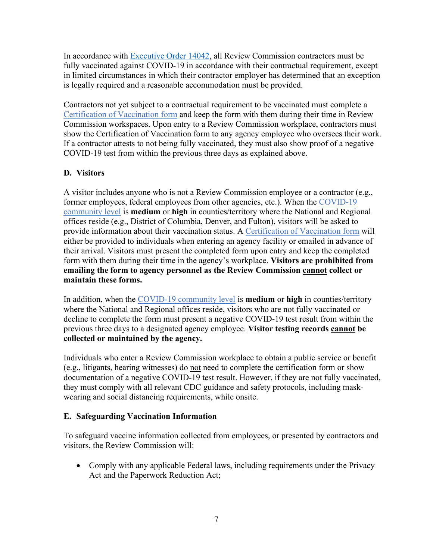In accordance with **Executive Order 14042**, all Review Commission contractors must be fully vaccinated against COVID-19 in accordance with their contractual requirement, except in limited circumstances in which their contractor employer has determined that an exception is legally required and a reasonable accommodation must be provided.

Contractors not yet subject to a contractual requirement to be vaccinated must complete a [Certification of Vaccination form](https://www.saferfederalworkforce.gov/downloads/CertificationVaccinationPRAv7.pdf) and keep the form with them during their time in Review Commission workspaces. Upon entry to a Review Commission workplace, contractors must show the Certification of Vaccination form to any agency employee who oversees their work. If a contractor attests to not being fully vaccinated, they must also show proof of a negative COVID-19 test from within the previous three days as explained above.

# <span id="page-8-0"></span>**D. Visitors**

A visitor includes anyone who is not a Review Commission employee or a contractor (e.g., former employees, federal employees from other agencies, etc.). When the [COVID-19](https://www.cdc.gov/coronavirus/2019-ncov/science/community-levels.html)  [community level](https://www.cdc.gov/coronavirus/2019-ncov/science/community-levels.html) is **medium** or **high** in counties/territory where the National and Regional offices reside (e.g., District of Columbia, Denver, and Fulton), visitors will be asked to provide information about their vaccination status. A [Certification of Vaccination form](https://www.oshrc.gov/assets/1/6/CertificationVaccinationPRAv7.pdf) will either be provided to individuals when entering an agency facility or emailed in advance of their arrival. Visitors must present the completed form upon entry and keep the completed form with them during their time in the agency's workplace. **Visitors are prohibited from emailing the form to agency personnel as the Review Commission cannot collect or maintain these forms.**

In addition, when the [COVID-19 community level](https://www.cdc.gov/coronavirus/2019-ncov/science/community-levels.html) is **medium** or **high** in counties/territory where the National and Regional offices reside, visitors who are not fully vaccinated or decline to complete the form must present a negative COVID-19 test result from within the previous three days to a designated agency employee. **Visitor testing records cannot be collected or maintained by the agency.**

Individuals who enter a Review Commission workplace to obtain a public service or benefit (e.g., litigants, hearing witnesses) do not need to complete the certification form or show documentation of a negative COVID-19 test result. However, if they are not fully vaccinated, they must comply with all relevant CDC guidance and safety protocols, including maskwearing and social distancing requirements, while onsite.

#### <span id="page-8-1"></span>**E. Safeguarding Vaccination Information**

To safeguard vaccine information collected from employees, or presented by contractors and visitors, the Review Commission will:

• Comply with any applicable Federal laws, including requirements under the Privacy Act and the Paperwork Reduction Act;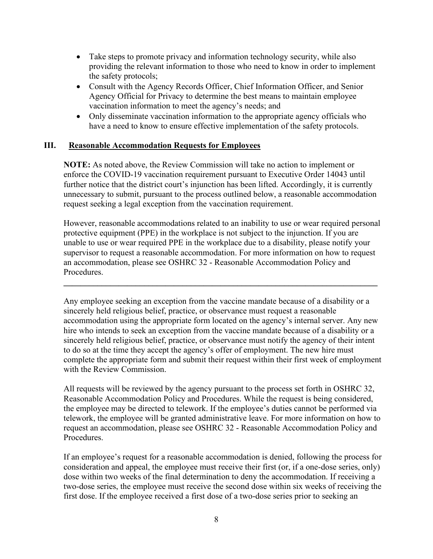- Take steps to promote privacy and information technology security, while also providing the relevant information to those who need to know in order to implement the safety protocols;
- Consult with the Agency Records Officer, Chief Information Officer, and Senior Agency Official for Privacy to determine the best means to maintain employee vaccination information to meet the agency's needs; and
- Only disseminate vaccination information to the appropriate agency officials who have a need to know to ensure effective implementation of the safety protocols.

#### <span id="page-9-0"></span>**III. Reasonable Accommodation Requests for Employees**

**NOTE:** As noted above, the Review Commission will take no action to implement or enforce the COVID-19 vaccination requirement pursuant to Executive Order 14043 until further notice that the district court's injunction has been lifted. Accordingly, it is currently unnecessary to submit, pursuant to the process outlined below, a reasonable accommodation request seeking a legal exception from the vaccination requirement.

However, reasonable accommodations related to an inability to use or wear required personal protective equipment (PPE) in the workplace is not subject to the injunction. If you are unable to use or wear required PPE in the workplace due to a disability, please notify your supervisor to request a reasonable accommodation. For more information on how to request an accommodation, please see OSHRC 32 - Reasonable Accommodation Policy and Procedures.

**\_\_\_\_\_\_\_\_\_\_\_\_\_\_\_\_\_\_\_\_\_\_\_\_\_\_\_\_\_\_\_\_\_\_\_\_\_\_\_\_\_\_\_\_\_\_\_\_\_\_\_\_\_\_\_\_\_\_\_\_\_\_\_\_\_\_\_\_\_\_\_\_\_\_**

Any employee seeking an exception from the vaccine mandate because of a disability or a sincerely held religious belief, practice, or observance must request a reasonable accommodation using the appropriate form located on the agency's internal server. Any new hire who intends to seek an exception from the vaccine mandate because of a disability or a sincerely held religious belief, practice, or observance must notify the agency of their intent to do so at the time they accept the agency's offer of employment. The new hire must complete the appropriate form and submit their request within their first week of employment with the Review Commission.

All requests will be reviewed by the agency pursuant to the process set forth in [OSHRC 32,](file://oshrc-dfs/groups/OSHRC/OSHRC%20shared%20data/Directives%20on%20Oshrc_nt/OSHRC%2032%20-%20Reasonable%20Accommodation%20Policy%20and%20Procedures.pdf)  [Reasonable Accommodation Policy and Procedures.](file://oshrc-dfs/groups/OSHRC/OSHRC%20shared%20data/Directives%20on%20Oshrc_nt/OSHRC%2032%20-%20Reasonable%20Accommodation%20Policy%20and%20Procedures.pdf) While the request is being considered, the employee may be directed to telework. If the employee's duties cannot be performed via telework, the employee will be granted administrative leave. For more information on how to request an accommodation, please see OSHRC 32 - Reasonable Accommodation Policy and Procedures.

If an employee's request for a reasonable accommodation is denied, following the process for consideration and appeal, the employee must receive their first (or, if a one-dose series, only) dose within two weeks of the final determination to deny the accommodation. If receiving a two-dose series, the employee must receive the second dose within six weeks of receiving the first dose. If the employee received a first dose of a two-dose series prior to seeking an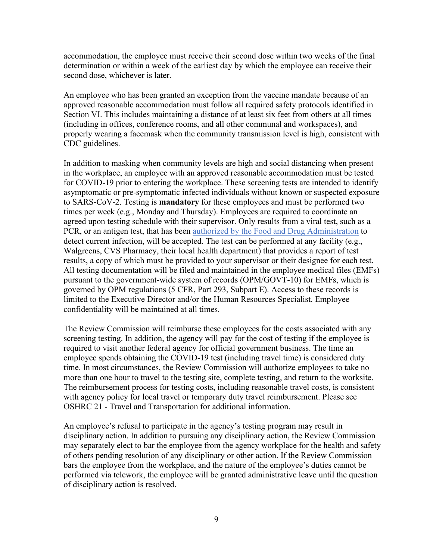accommodation, the employee must receive their second dose within two weeks of the final determination or within a week of the earliest day by which the employee can receive their second dose, whichever is later.

An employee who has been granted an exception from the vaccine mandate because of an approved reasonable accommodation must follow all required safety protocols identified in Section VI. This includes maintaining a distance of at least six feet from others at all times (including in offices, conference rooms, and all other communal and workspaces), and properly wearing a facemask when the community transmission level is high, consistent with CDC guidelines.

In addition to masking when community levels are high and social distancing when present in the workplace, an employee with an approved reasonable accommodation must be tested for COVID-19 prior to entering the workplace. These screening tests are intended to identify asymptomatic or pre-symptomatic infected individuals without known or suspected exposure to SARS-CoV-2. Testing is **mandatory** for these employees and must be performed two times per week (e.g., Monday and Thursday). Employees are required to coordinate an agreed upon testing schedule with their supervisor. Only results from a viral test, such as a PCR, or an antigen test, that has been [authorized by the Food and Drug Administration](https://www.fda.gov/medical-devices/coronavirus-disease-2019-covid-19-emergency-use-authorizations-medical-devices/in-vitro-diagnostics-euas-antigen-diagnostic-tests-sars-cov-2) to detect current infection, will be accepted. The test can be performed at any facility (e.g., Walgreens, CVS Pharmacy, their local health department) that provides a report of test results, a copy of which must be provided to your supervisor or their designee for each test. All testing documentation will be filed and maintained in the employee medical files (EMFs) pursuant to the government-wide system of records (OPM/GOVT-10) for EMFs, which is governed by OPM regulations (5 CFR, Part 293, Subpart E). Access to these records is limited to the Executive Director and/or the Human Resources Specialist. Employee confidentiality will be maintained at all times.

The Review Commission will reimburse these employees for the costs associated with any screening testing. In addition, the agency will pay for the cost of testing if the employee is required to visit another federal agency for official government business. The time an employee spends obtaining the COVID-19 test (including travel time) is considered duty time. In most circumstances, the Review Commission will authorize employees to take no more than one hour to travel to the testing site, complete testing, and return to the worksite. The reimbursement process for testing costs, including reasonable travel costs, is consistent with agency policy for local travel or temporary duty travel reimbursement. Please see OSHRC 21 - Travel and Transportation for additional information.

An employee's refusal to participate in the agency's testing program may result in disciplinary action. In addition to pursuing any disciplinary action, the Review Commission may separately elect to bar the employee from the agency workplace for the health and safety of others pending resolution of any disciplinary or other action. If the Review Commission bars the employee from the workplace, and the nature of the employee's duties cannot be performed via telework, the employee will be granted administrative leave until the question of disciplinary action is resolved.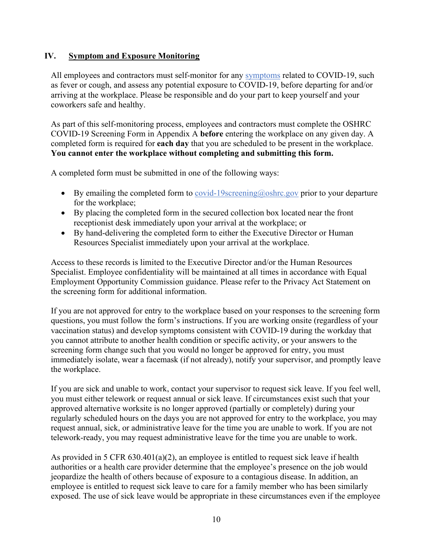#### <span id="page-11-0"></span>**IV. Symptom and Exposure Monitoring**

All employees and contractors must self-monitor for any [symptoms](https://www.cdc.gov/coronavirus/2019-ncov/symptoms-testing/symptoms.html) related to COVID-19, such as fever or cough, and assess any potential exposure to COVID-19, before departing for and/or arriving at the workplace. Please be responsible and do your part to keep yourself and your coworkers safe and healthy.

As part of this self-monitoring process, employees and contractors must complete the OSHRC COVID-19 Screening Form in Appendix A **before** entering the workplace on any given day. A completed form is required for **each day** that you are scheduled to be present in the workplace. **You cannot enter the workplace without completing and submitting this form.**

A completed form must be submitted in one of the following ways:

- By emailing the completed form to  $\frac{\text{covid-19} \text{screening}(a) \text{oshrc.gov}}{\text{prior}(\text{to your departure})}$ for the workplace;
- By placing the completed form in the secured collection box located near the front receptionist desk immediately upon your arrival at the workplace; or
- By hand-delivering the completed form to either the Executive Director or Human Resources Specialist immediately upon your arrival at the workplace.

Access to these records is limited to the Executive Director and/or the Human Resources Specialist. Employee confidentiality will be maintained at all times in accordance with Equal Employment Opportunity Commission guidance. Please refer to the Privacy Act Statement on the screening form for additional information.

If you are not approved for entry to the workplace based on your responses to the screening form questions, you must follow the form's instructions. If you are working onsite (regardless of your vaccination status) and develop symptoms consistent with COVID-19 during the workday that you cannot attribute to another health condition or specific activity, or your answers to the screening form change such that you would no longer be approved for entry, you must immediately isolate, wear a facemask (if not already), notify your supervisor, and promptly leave the workplace.

If you are sick and unable to work, contact your supervisor to request sick leave. If you feel well, you must either telework or request annual or sick leave. If circumstances exist such that your approved alternative worksite is no longer approved (partially or completely) during your regularly scheduled hours on the days you are not approved for entry to the workplace, you may request annual, sick, or administrative leave for the time you are unable to work. If you are not telework-ready, you may request administrative leave for the time you are unable to work.

As provided in 5 CFR 630.401(a)(2), an employee is entitled to request sick leave if health authorities or a health care provider determine that the employee's presence on the job would jeopardize the health of others because of exposure to a contagious disease. In addition, an employee is entitled to request sick leave to care for a family member who has been similarly exposed. The use of sick leave would be appropriate in these circumstances even if the employee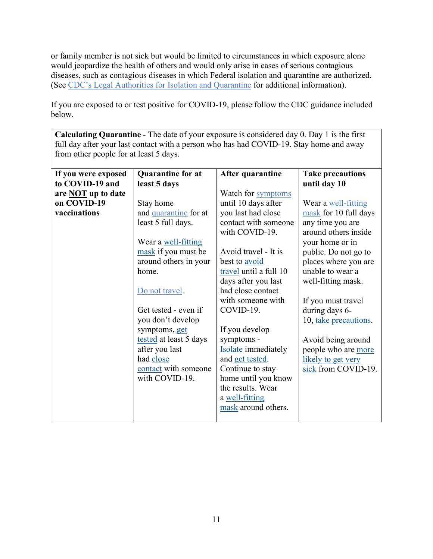or family member is not sick but would be limited to circumstances in which exposure alone would jeopardize the health of others and would only arise in cases of serious contagious diseases, such as contagious diseases in which Federal isolation and quarantine are authorized. (See [CDC's Legal Authorities for Isolation and Quarantine](https://www.cdc.gov/quarantine/AboutLawsRegulationsQuarantineIsolation.html) for additional information).

If you are exposed to or test positive for COVID-19, please follow the CDC guidance included below.

**Calculating Quarantine** - The date of your exposure is considered day 0. Day 1 is the first full day after your last contact with a person who has had COVID-19. Stay home and away from other people for at least 5 days.

| If you were exposed       | <b>Quarantine for at</b> | After quarantine           | <b>Take precautions</b> |
|---------------------------|--------------------------|----------------------------|-------------------------|
| to COVID-19 and           | least 5 days             |                            | until day 10            |
| are <b>NOT</b> up to date |                          | Watch for symptoms         |                         |
| on COVID-19               | Stay home                | until 10 days after        | Wear a well-fitting     |
| vaccinations              | and quarantine for at    | you last had close         | mask for 10 full days   |
|                           | least 5 full days.       | contact with someone       | any time you are        |
|                           |                          | with COVID-19.             | around others inside    |
|                           | Wear a well-fitting      |                            | your home or in         |
|                           | mask if you must be      | Avoid travel - It is       | public. Do not go to    |
|                           | around others in your    | best to <u>avoid</u>       | places where you are    |
|                           | home.                    | travel until a full 10     | unable to wear a        |
|                           |                          | days after you last        | well-fitting mask.      |
|                           | Do not travel.           | had close contact          |                         |
|                           |                          | with someone with          | If you must travel      |
|                           | Get tested - even if     | COVID-19.                  | during days 6-          |
|                           | you don't develop        |                            | 10, take precautions.   |
|                           | symptoms, get            | If you develop             |                         |
|                           | tested at least 5 days   | symptoms -                 | Avoid being around      |
|                           | after you last           | <b>Isolate</b> immediately | people who are more     |
|                           | had close                | and get tested.            | likely to get very      |
|                           | contact with someone     | Continue to stay           | sick from COVID-19.     |
|                           | with COVID-19.           | home until you know        |                         |
|                           |                          | the results. Wear          |                         |
|                           |                          | a well-fitting             |                         |
|                           |                          | mask around others.        |                         |
|                           |                          |                            |                         |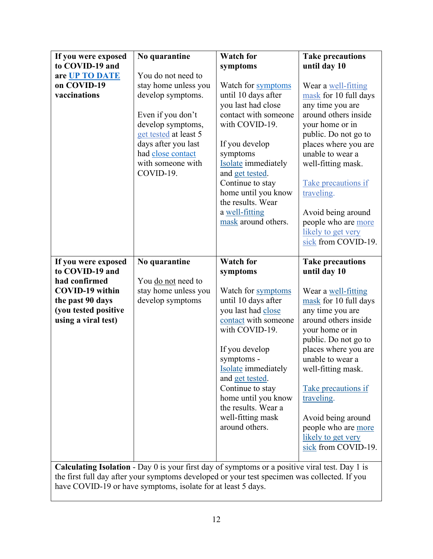| If you were exposed<br>to COVID-19 and<br>are UP TO DATE<br>on COVID-19<br>vaccinations                                                              | No quarantine<br>You do not need to<br>stay home unless you<br>develop symptoms.<br>Even if you don't<br>develop symptoms,<br>get tested at least 5<br>days after you last<br>had close contact<br>with someone with<br>COVID-19. | <b>Watch for</b><br>symptoms<br>Watch for symptoms<br>until 10 days after<br>you last had close<br>contact with someone<br>with COVID-19.<br>If you develop<br>symptoms<br><b>Isolate</b> immediately<br>and get tested.<br>Continue to stay<br>home until you know<br>the results. Wear<br>a well-fitting<br>mask around others.                                                                                                     | <b>Take precautions</b><br>until day 10<br>Wear a well-fitting<br>mask for 10 full days<br>any time you are<br>around others inside<br>your home or in<br>public. Do not go to<br>places where you are<br>unable to wear a<br>well-fitting mask.<br>Take precautions if<br>traveling.<br>Avoid being around<br>people who are more<br>likely to get very<br>sick from COVID-19. |
|------------------------------------------------------------------------------------------------------------------------------------------------------|-----------------------------------------------------------------------------------------------------------------------------------------------------------------------------------------------------------------------------------|---------------------------------------------------------------------------------------------------------------------------------------------------------------------------------------------------------------------------------------------------------------------------------------------------------------------------------------------------------------------------------------------------------------------------------------|---------------------------------------------------------------------------------------------------------------------------------------------------------------------------------------------------------------------------------------------------------------------------------------------------------------------------------------------------------------------------------|
| If you were exposed<br>to COVID-19 and<br>had confirmed<br><b>COVID-19</b> within<br>the past 90 days<br>(you tested positive<br>using a viral test) | No quarantine<br>You do not need to<br>stay home unless you<br>develop symptoms                                                                                                                                                   | <b>Watch for</b><br>symptoms<br>Watch for symptoms<br>until 10 days after<br>you last had close<br>contact with someone<br>with COVID-19.<br>If you develop<br>symptoms -<br><b>Isolate</b> immediately<br>and get tested.<br>Continue to stay<br>home until you know<br>the results. Wear a<br>well-fitting mask<br>around others.<br>Calculating Isolation - Day 0 is your first day of symptoms or a positive viral test. Day 1 is | <b>Take precautions</b><br>until day 10<br>Wear a well-fitting<br>mask for 10 full days<br>any time you are<br>around others inside<br>your home or in<br>public. Do not go to<br>places where you are<br>unable to wear a<br>well-fitting mask.<br>Take precautions if<br>traveling.<br>Avoid being around<br>people who are more<br>likely to get very<br>sick from COVID-19. |

**Calculating Isolation** - Day 0 is your first day of symptoms or a positive viral test. Day 1 is the first full day after your symptoms developed or your test specimen was collected. If you have COVID-19 or have symptoms, isolate for at least 5 days.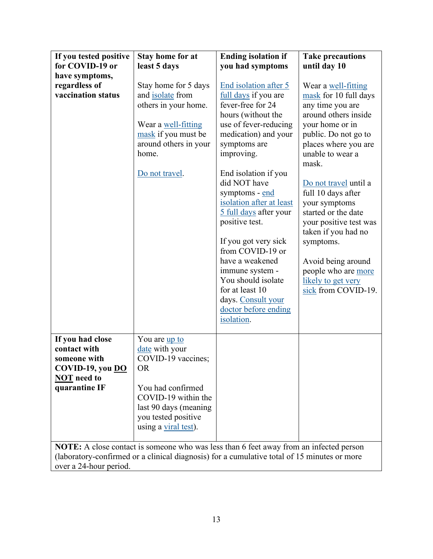<span id="page-14-0"></span>

| If you tested positive                                                                      | <b>Stay home for at</b> | <b>Ending isolation if</b> | <b>Take precautions</b>   |  |  |  |
|---------------------------------------------------------------------------------------------|-------------------------|----------------------------|---------------------------|--|--|--|
| for COVID-19 or                                                                             | least 5 days            | you had symptoms           | until day 10              |  |  |  |
| have symptoms,                                                                              |                         |                            |                           |  |  |  |
| regardless of                                                                               | Stay home for 5 days    | End isolation after 5      | Wear a well-fitting       |  |  |  |
| vaccination status                                                                          | and isolate from        | full days if you are       | mask for 10 full days     |  |  |  |
|                                                                                             | others in your home.    | fever-free for 24          | any time you are          |  |  |  |
|                                                                                             |                         | hours (without the         | around others inside      |  |  |  |
|                                                                                             | Wear a well-fitting     | use of fever-reducing      | your home or in           |  |  |  |
|                                                                                             | mask if you must be     | medication) and your       | public. Do not go to      |  |  |  |
|                                                                                             | around others in your   | symptoms are               | places where you are      |  |  |  |
|                                                                                             | home.                   | improving.                 | unable to wear a<br>mask. |  |  |  |
|                                                                                             | Do not travel.          | End isolation if you       |                           |  |  |  |
|                                                                                             |                         | did NOT have               | Do not travel until a     |  |  |  |
|                                                                                             |                         | symptoms - end             | full 10 days after        |  |  |  |
|                                                                                             |                         | isolation after at least   | your symptoms             |  |  |  |
|                                                                                             |                         | 5 full days after your     | started or the date       |  |  |  |
|                                                                                             |                         | positive test.             | your positive test was    |  |  |  |
|                                                                                             |                         |                            | taken if you had no       |  |  |  |
|                                                                                             |                         | If you got very sick       | symptoms.                 |  |  |  |
|                                                                                             |                         | from COVID-19 or           |                           |  |  |  |
|                                                                                             |                         | have a weakened            | Avoid being around        |  |  |  |
|                                                                                             |                         | immune system -            | people who are more       |  |  |  |
|                                                                                             |                         | You should isolate         | likely to get very        |  |  |  |
|                                                                                             |                         | for at least 10            | sick from COVID-19.       |  |  |  |
|                                                                                             |                         | days. Consult your         |                           |  |  |  |
|                                                                                             |                         | doctor before ending       |                           |  |  |  |
|                                                                                             |                         | isolation.                 |                           |  |  |  |
| If you had close                                                                            | You are <u>up to</u>    |                            |                           |  |  |  |
| contact with                                                                                | date with your          |                            |                           |  |  |  |
| someone with                                                                                | COVID-19 vaccines;      |                            |                           |  |  |  |
| COVID-19, you DO                                                                            | <b>OR</b>               |                            |                           |  |  |  |
| <b>NOT</b> need to                                                                          |                         |                            |                           |  |  |  |
| quarantine IF                                                                               | You had confirmed       |                            |                           |  |  |  |
|                                                                                             | COVID-19 within the     |                            |                           |  |  |  |
|                                                                                             | last 90 days (meaning   |                            |                           |  |  |  |
|                                                                                             | you tested positive     |                            |                           |  |  |  |
|                                                                                             | using a viral test).    |                            |                           |  |  |  |
|                                                                                             |                         |                            |                           |  |  |  |
| NOTE: A close contact is someone who was less than 6 feet away from an infected person      |                         |                            |                           |  |  |  |
| (laboratory-confirmed or a clinical diagnosis) for a cumulative total of 15 minutes or more |                         |                            |                           |  |  |  |
| over a 24-hour period.                                                                      |                         |                            |                           |  |  |  |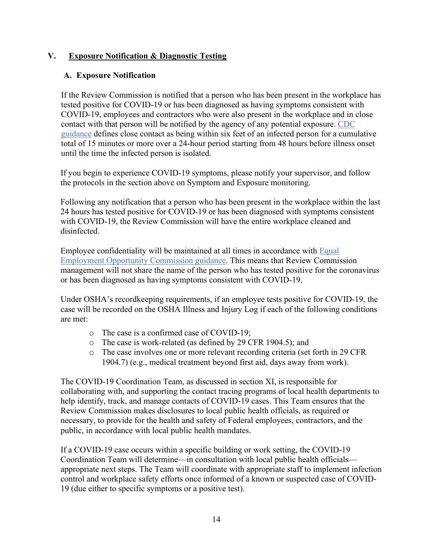### **V. Exposure Notification & Diagnostic Testing**

### <span id="page-15-0"></span>**A. Exposure Notification**

If the Review Commission is notified that a person who has been present in the workplace has tested positive for COVID-19 or has been diagnosed as having symptoms consistent with COVID-19, employees and contractors who were also present in the workplace and in close contact with that person will be notified by the agency of any potential exposure. [CDC](https://www.cdc.gov/coronavirus/2019-ncov/php/contact-tracing/contact-tracing-plan/appendix.html#contact)  [guidance](https://www.cdc.gov/coronavirus/2019-ncov/php/contact-tracing/contact-tracing-plan/appendix.html#contact) defines close contact as being within six feet of an infected person for a cumulative total of 15 minutes or more over a 24-hour period starting from 48 hours before illness onset until the time the infected person is isolated.

If you begin to experience COVID-19 symptoms, please notify your supervisor, and follow the protocols in the section above on Symptom and Exposure monitoring.

Following any notification that a person who has been present in the workplace within the last 24 hours has tested positive for COVID-19 or has been diagnosed with symptoms consistent with COVID-19, the Review Commission will have the entire workplace cleaned and disinfected.

Employee confidentiality will be maintained at all times in accordance with [Equal](https://www.eeoc.gov/wysk/what-you-should-know-about-covid-19-and-ada-rehabilitation-act-and-other-eeo-laws)  [Employment Opportunity Commission guidance.](https://www.eeoc.gov/wysk/what-you-should-know-about-covid-19-and-ada-rehabilitation-act-and-other-eeo-laws) This means that Review Commission management will not share the name of the person who has tested positive for the coronavirus or has been diagnosed as having symptoms consistent with COVID-19.

Under OSHA's recordkeeping requirements, if an employee tests positive for COVID-19, the case will be recorded on the OSHA Illness and Injury Log if each of the following conditions are met:

- o The case is a confirmed case of COVID-19;
- o The case is work-related (as defined by 29 CFR 1904.5); and
- o The case involves one or more relevant recording criteria (set forth in 29 CFR 1904.7) (e.g., medical treatment beyond first aid, days away from work).

The COVID-19 Coordination Team, as discussed in section XI, is responsible for collaborating with, and supporting the contact tracing programs of local health departments to help identify, track, and manage contacts of COVID-19 cases. This Team ensures that the Review Commission makes disclosures to local public health officials, as required or necessary, to provide for the health and safety of Federal employees, contractors, and the public, in accordance with local public health mandates.

If a COVID-19 case occurs within a specific building or work setting, the COVID-19 Coordination Team will determine—in consultation with local public health officials appropriate next steps. The Team will coordinate with appropriate staff to implement infection control and workplace safety efforts once informed of a known or suspected case of COVID-19 (due either to specific symptoms or a positive test).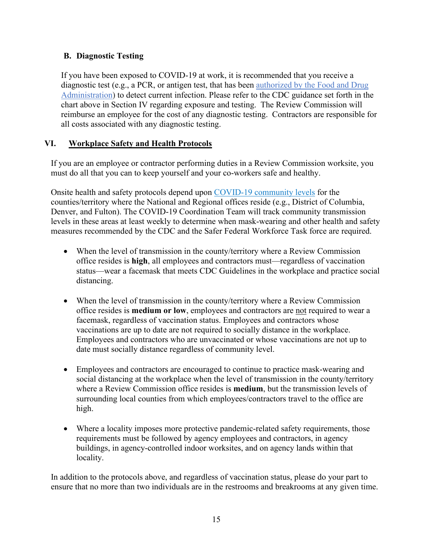# <span id="page-16-0"></span>**B. Diagnostic Testing**

If you have been exposed to COVID-19 at work, it is recommended that you receive a diagnostic test (e.g., a PCR, or antigen test, that has been [authorized by the Food and Drug](https://www.fda.gov/medical-devices/coronavirus-disease-2019-covid-19-emergency-use-authorizations-medical-devices/in-vitro-diagnostics-euas-antigen-diagnostic-tests-sars-cov-2)  [Administration\)](https://www.fda.gov/medical-devices/coronavirus-disease-2019-covid-19-emergency-use-authorizations-medical-devices/in-vitro-diagnostics-euas-antigen-diagnostic-tests-sars-cov-2) to detect current infection. Please refer to the CDC guidance set forth in the chart above in Section IV regarding exposure and testing. The Review Commission will reimburse an employee for the cost of any diagnostic testing. Contractors are responsible for all costs associated with any diagnostic testing.

# <span id="page-16-1"></span>**VI. Workplace Safety and Health Protocols**

If you are an employee or contractor performing duties in a Review Commission worksite, you must do all that you can to keep yourself and your co-workers safe and healthy.

Onsite health and safety protocols depend upon [COVID-19 community levels](https://www.cdc.gov/coronavirus/2019-ncov/science/community-levels.html) for the counties/territory where the National and Regional offices reside (e.g., District of Columbia, Denver, and Fulton). The COVID-19 Coordination Team will track community transmission levels in these areas at least weekly to determine when mask-wearing and other health and safety measures recommended by the CDC and the Safer Federal Workforce Task force are required.

- When the level of transmission in the county/territory where a Review Commission office resides is **high**, all employees and contractors must—regardless of vaccination status—wear a facemask that meets CDC Guidelines in the workplace and practice social distancing.
- When the level of transmission in the county/territory where a Review Commission office resides is **medium or low**, employees and contractors are not required to wear a facemask, regardless of vaccination status. Employees and contractors whose vaccinations are up to date are not required to socially distance in the workplace. Employees and contractors who are unvaccinated or whose vaccinations are not up to date must socially distance regardless of community level.
- Employees and contractors are encouraged to continue to practice mask-wearing and social distancing at the workplace when the level of transmission in the county/territory where a Review Commission office resides is **medium**, but the transmission levels of surrounding local counties from which employees/contractors travel to the office are high.
- Where a locality imposes more protective pandemic-related safety requirements, those requirements must be followed by agency employees and contractors, in agency buildings, in agency-controlled indoor worksites, and on agency lands within that locality.

In addition to the protocols above, and regardless of vaccination status, please do your part to ensure that no more than two individuals are in the restrooms and breakrooms at any given time.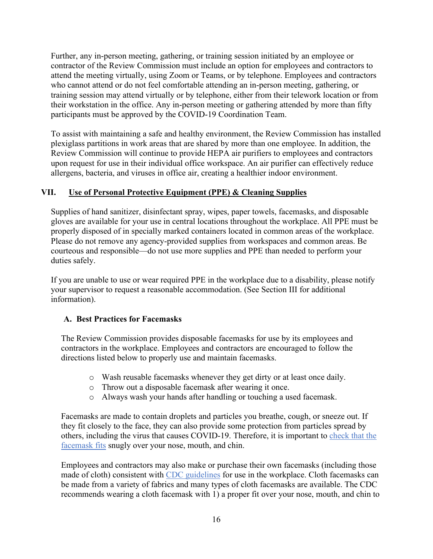Further, any in-person meeting, gathering, or training session initiated by an employee or contractor of the Review Commission must include an option for employees and contractors to attend the meeting virtually, using Zoom or Teams, or by telephone. Employees and contractors who cannot attend or do not feel comfortable attending an in-person meeting, gathering, or training session may attend virtually or by telephone, either from their telework location or from their workstation in the office. Any in-person meeting or gathering attended by more than fifty participants must be approved by the COVID-19 Coordination Team.

<span id="page-17-0"></span>To assist with maintaining a safe and healthy environment, the Review Commission has installed plexiglass partitions in work areas that are shared by more than one employee. In addition, the Review Commission will continue to provide HEPA air purifiers to employees and contractors upon request for use in their individual office workspace. An air purifier can effectively reduce allergens, bacteria, and viruses in office air, creating a healthier indoor environment.

#### **VII. Use of Personal Protective Equipment (PPE) & Cleaning Supplies**

Supplies of hand sanitizer, disinfectant spray, wipes, paper towels, facemasks, and disposable gloves are available for your use in central locations throughout the workplace. All PPE must be properly disposed of in specially marked containers located in common areas of the workplace. Please do not remove any agency-provided supplies from workspaces and common areas. Be courteous and responsible—do not use more supplies and PPE than needed to perform your duties safely.

If you are unable to use or wear required PPE in the workplace due to a disability, please notify your supervisor to request a reasonable accommodation. (See Section III for additional information).

#### <span id="page-17-1"></span>**A. Best Practices for Facemasks**

The Review Commission provides disposable facemasks for use by its employees and contractors in the workplace. Employees and contractors are encouraged to follow the directions listed below to properly use and maintain facemasks.

- o Wash reusable facemasks whenever they get dirty or at least once daily.
- o Throw out a disposable facemask after wearing it once.
- o Always wash your hands after handling or touching a used facemask.

Facemasks are made to contain droplets and particles you breathe, cough, or sneeze out. If they fit closely to the face, they can also provide some protection from particles spread by others, including the virus that causes COVID-19. Therefore, it is important to [check that the](https://www.cdc.gov/coronavirus/2019-ncov/your-health/effective-masks.html)  [facemask](https://www.cdc.gov/coronavirus/2019-ncov/your-health/effective-masks.html) fits snugly over your nose, mouth, and chin.

Employees and contractors may also make or purchase their own facemasks (including those made of cloth) consistent with [CDC guidelines](https://www.cdc.gov/coronavirus/2019-ncov/prevent-getting-sick/about-face-coverings.html) for use in the workplace. Cloth facemasks can be made from a variety of fabrics and many types of cloth facemasks are available. The CDC recommends wearing a cloth facemask with 1) a proper fit over your nose, mouth, and chin to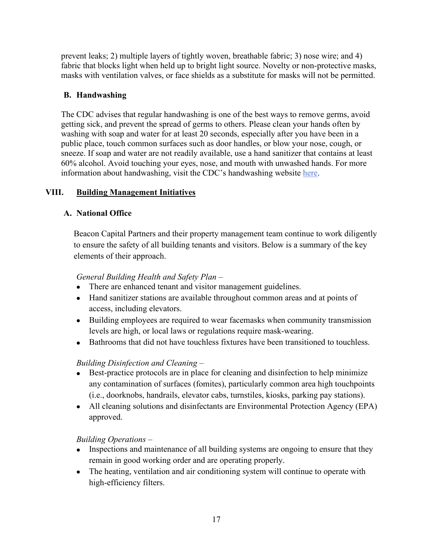prevent leaks; 2) multiple layers of tightly woven, breathable fabric; 3) nose wire; and 4) fabric that blocks light when held up to bright light source. Novelty or non-protective masks, masks with ventilation valves, or face shields as a substitute for masks will not be permitted.

# <span id="page-18-0"></span>**B. Handwashing**

The CDC advises that regular handwashing is one of the best ways to remove germs, avoid getting sick, and prevent the spread of germs to others. Please clean your hands often by washing with soap and water for at least 20 seconds, especially after you have been in a public place, touch common surfaces such as door handles, or blow your nose, cough, or sneeze. If soap and water are not readily available, use a hand sanitizer that contains at least 60% alcohol. Avoid touching your eyes, nose, and mouth with unwashed hands. For more information about handwashing, visit the CDC's handwashing website [here.](https://www.cdc.gov/coronavirus/2019-ncov/global-covid-19/handwashing.html)

# <span id="page-18-1"></span>**VIII. Building Management Initiatives**

# <span id="page-18-2"></span>**A. National Office**

Beacon Capital Partners and their property management team continue to work diligently to ensure the safety of all building tenants and visitors. Below is a summary of the key elements of their approach.

# *General Building Health and Safety Plan –*

- There are enhanced tenant and visitor management guidelines.
- Hand sanitizer stations are available throughout common areas and at points of access, including elevators.
- Building employees are required to wear facemasks when community transmission levels are high, or local laws or regulations require mask-wearing.
- Bathrooms that did not have touchless fixtures have been transitioned to touchless.

# *Building Disinfection and Cleaning –*

- Best-practice protocols are in place for cleaning and disinfection to help minimize any contamination of surfaces (fomites), particularly common area high touchpoints (i.e., doorknobs, handrails, elevator cabs, turnstiles, kiosks, parking pay stations).
- All cleaning solutions and disinfectants are Environmental Protection Agency (EPA) approved.

*Building Operations –*

- Inspections and maintenance of all building systems are ongoing to ensure that they remain in good working order and are operating properly.
- The heating, ventilation and air conditioning system will continue to operate with high-efficiency filters.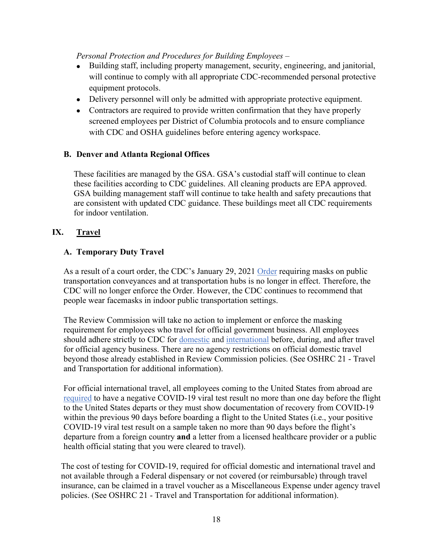*Personal Protection and Procedures for Building Employees –*

- Building staff, including property management, security, engineering, and janitorial, will continue to comply with all appropriate CDC-recommended personal protective equipment protocols.
- Delivery personnel will only be admitted with appropriate protective equipment.
- Contractors are required to provide written confirmation that they have properly screened employees per District of Columbia protocols and to ensure compliance with CDC and OSHA guidelines before entering agency workspace.

#### <span id="page-19-0"></span>**B. Denver and Atlanta Regional Offices**

<span id="page-19-1"></span>These facilities are managed by the GSA. GSA's custodial staff will continue to clean these facilities according to CDC guidelines. All cleaning products are EPA approved. GSA building management staff will continue to take health and safety precautions that are consistent with updated CDC guidance. These buildings meet all CDC requirements for indoor ventilation.

#### **IX. Travel**

#### <span id="page-19-2"></span>**A. Temporary Duty Travel**

As a result of a court order, the CDC's January 29, 2021 [Order](https://www.cdc.gov/quarantine/masks/mask-travel-guidance.html) requiring masks on public transportation conveyances and at transportation hubs is no longer in effect. Therefore, the CDC will no longer enforce the Order. However, the CDC continues to recommend that people wear facemasks in indoor public transportation settings.

The Review Commission will take no action to implement or enforce the masking requirement for employees who travel for official government business. All employees should adhere strictly to CDC for [domestic](https://www.cdc.gov/coronavirus/2019-ncov/travelers/travel-during-covid19.html) and [international](https://www.cdc.gov/coronavirus/2019-ncov/travelers/international-travel-during-covid19.html) before, during, and after travel for official agency business. There are no agency restrictions on official domestic travel beyond those already established in Review Commission policies. (See OSHRC 21 - Travel and Transportation for additional information).

For official international travel, all employees coming to the United States from abroad are [required](https://www.cdc.gov/coronavirus/2019-ncov/travelers/testing-international-air-travelers.html) to have a negative COVID-19 viral test result no more than one day before the flight to the United States departs or they must show documentation of recovery from COVID-19 within the previous 90 days before boarding a flight to the United States (i.e., your positive COVID-19 viral test result on a sample taken no more than 90 days before the flight's departure from a foreign country **and** a letter from a licensed healthcare provider or a public health official stating that you were cleared to travel).

The cost of testing for COVID-19, required for official domestic and international travel and not available through a Federal dispensary or not covered (or reimbursable) through travel insurance, can be claimed in a travel voucher as a Miscellaneous Expense under agency travel policies. (See OSHRC 21 - Travel and Transportation for additional information).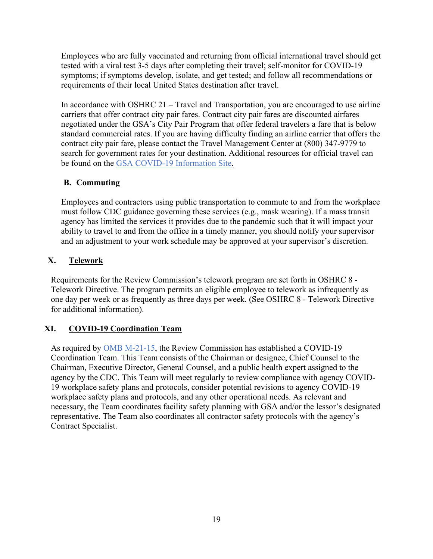Employees who are fully vaccinated and returning from official international travel should get tested with a viral test 3-5 days after completing their travel; self-monitor for COVID-19 symptoms; if symptoms develop, isolate, and get tested; and follow all recommendations or requirements of their local United States destination after travel.

In accordance with OSHRC 21 – Travel and Transportation, you are encouraged to use airline carriers that offer contract city pair fares. Contract city pair fares are discounted airfares negotiated under the GSA's City Pair Program that offer federal travelers a fare that is below standard commercial rates. If you are having difficulty finding an airline carrier that offers the contract city pair fare, please contact the Travel Management Center at (800) 347-9779 to search for government rates for your destination. Additional resources for official travel can be found on the [GSA COVID-19 Information Site.](https://www.gsa.gov/governmentwide-initiatives/emergency-response/covid19-coronavirus)

# <span id="page-20-0"></span>**B. Commuting**

Employees and contractors using public transportation to commute to and from the workplace must follow CDC guidance governing these services (e.g., mask wearing). If a mass transit agency has limited the services it provides due to the pandemic such that it will impact your ability to travel to and from the office in a timely manner, you should notify your supervisor and an adjustment to your work schedule may be approved at your supervisor's discretion.

# <span id="page-20-1"></span>**X. Telework**

Requirements for the Review Commission's telework program are set forth in OSHRC 8 - Telework Directive. The program permits an eligible employee to telework as infrequently as one day per week or as frequently as three days per week. (See OSHRC 8 - Telework Directive for additional information).

# <span id="page-20-2"></span>**XI. COVID-19 Coordination Team**

<span id="page-20-3"></span>As required by [OMB M-21-15,](https://www.whitehouse.gov/wp-content/uploads/2021/01/M-21-15.pdf) the Review Commission has established a COVID-19 Coordination Team. This Team consists of the Chairman or designee, Chief Counsel to the Chairman, Executive Director, General Counsel, and a public health expert assigned to the agency by the CDC. This Team will meet regularly to review compliance with agency COVID-19 workplace safety plans and protocols, consider potential revisions to agency COVID-19 workplace safety plans and protocols, and any other operational needs. As relevant and necessary, the Team coordinates facility safety planning with GSA and/or the lessor's designated representative. The Team also coordinates all contractor safety protocols with the agency's Contract Specialist.